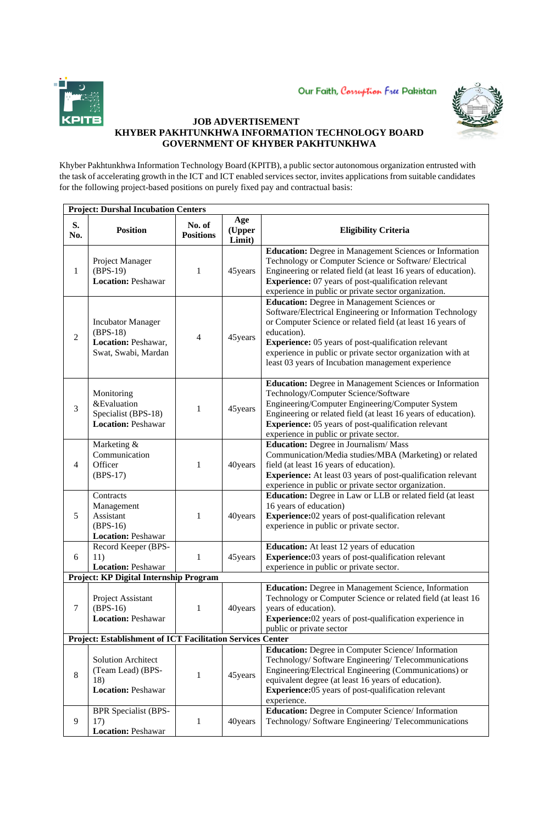

Our Faith, Comption Free Pakistan



## **JOB ADVERTISEMENT KHYBER PAKHTUNKHWA INFORMATION TECHNOLOGY BOARD GOVERNMENT OF KHYBER PAKHTUNKHWA**

Khyber Pakhtunkhwa Information Technology Board (KPITB), a public sector autonomous organization entrusted with the task of accelerating growth in the ICT and ICT enabled services sector, invites applications from suitable candidates for the following project-based positions on purely fixed pay and contractual basis:

| <b>Project: Durshal Incubation Centers</b> |                                                                                      |                            |                         |                                                                                                                                                                                                                                                                                                                                                                          |  |  |
|--------------------------------------------|--------------------------------------------------------------------------------------|----------------------------|-------------------------|--------------------------------------------------------------------------------------------------------------------------------------------------------------------------------------------------------------------------------------------------------------------------------------------------------------------------------------------------------------------------|--|--|
| S.<br>No.                                  | <b>Position</b>                                                                      | No. of<br><b>Positions</b> | Age<br>(Upper<br>Limit) | <b>Eligibility Criteria</b>                                                                                                                                                                                                                                                                                                                                              |  |  |
| $\mathbf{1}$                               | Project Manager<br>$(BPS-19)$<br><b>Location: Peshawar</b>                           | $\mathbf{1}$               | 45 years                | Education: Degree in Management Sciences or Information<br>Technology or Computer Science or Software/ Electrical<br>Engineering or related field (at least 16 years of education).<br><b>Experience:</b> 07 years of post-qualification relevant<br>experience in public or private sector organization.                                                                |  |  |
| $\overline{2}$                             | <b>Incubator Manager</b><br>$(BPS-18)$<br>Location: Peshawar,<br>Swat, Swabi, Mardan | 4                          | 45 years                | <b>Education:</b> Degree in Management Sciences or<br>Software/Electrical Engineering or Information Technology<br>or Computer Science or related field (at least 16 years of<br>education).<br>Experience: 05 years of post-qualification relevant<br>experience in public or private sector organization with at<br>least 03 years of Incubation management experience |  |  |
| 3                                          | Monitoring<br>&Evaluation<br>Specialist (BPS-18)<br><b>Location: Peshawar</b>        | 1                          | 45years                 | Education: Degree in Management Sciences or Information<br>Technology/Computer Science/Software<br>Engineering/Computer Engineering/Computer System<br>Engineering or related field (at least 16 years of education).<br><b>Experience:</b> 05 years of post-qualification relevant<br>experience in public or private sector.                                           |  |  |
| $\overline{4}$                             | Marketing &<br>Communication<br>Officer<br>$(BPS-17)$                                | 1                          | 40years                 | <b>Education:</b> Degree in Journalism/Mass<br>Communication/Media studies/MBA (Marketing) or related<br>field (at least 16 years of education).<br><b>Experience:</b> At least 03 years of post-qualification relevant<br>experience in public or private sector organization.                                                                                          |  |  |
| 5                                          | Contracts<br>Management<br>Assistant<br>$(BPS-16)$<br><b>Location: Peshawar</b>      | 1                          | 40years                 | Education: Degree in Law or LLB or related field (at least<br>16 years of education)<br>Experience: 02 years of post-qualification relevant<br>experience in public or private sector.                                                                                                                                                                                   |  |  |
| 6                                          | Record Keeper (BPS-<br>11)<br><b>Location: Peshawar</b>                              | 1                          | 45years                 | Education: At least 12 years of education<br><b>Experience:</b> 03 years of post-qualification relevant<br>experience in public or private sector.                                                                                                                                                                                                                       |  |  |
| Project: KP Digital Internship Program     |                                                                                      |                            |                         |                                                                                                                                                                                                                                                                                                                                                                          |  |  |
| $\tau$                                     | Project Assistant<br>$(BPS-16)$<br><b>Location: Peshawar</b>                         | 1                          | 40years                 | Education: Degree in Management Science, Information<br>Technology or Computer Science or related field (at least 16<br>years of education).<br><b>Experience:</b> 02 years of post-qualification experience in<br>public or private sector                                                                                                                              |  |  |
|                                            | Project: Establishment of ICT Facilitation Services Center                           |                            |                         |                                                                                                                                                                                                                                                                                                                                                                          |  |  |
| $8\,$                                      | Solution Architect<br>(Team Lead) (BPS-<br>18)<br><b>Location: Peshawar</b>          | 1                          | 45years                 | <b>Education:</b> Degree in Computer Science/ Information<br>Technology/Software Engineering/Telecommunications<br>Engineering/Electrical Engineering (Communications) or<br>equivalent degree (at least 16 years of education).<br><b>Experience:</b> 05 years of post-qualification relevant<br>experience.                                                            |  |  |
| 9                                          | <b>BPR</b> Specialist (BPS-<br>17)<br><b>Location: Peshawar</b>                      | 1                          | 40years                 | Education: Degree in Computer Science/ Information<br>Technology/Software Engineering/Telecommunications                                                                                                                                                                                                                                                                 |  |  |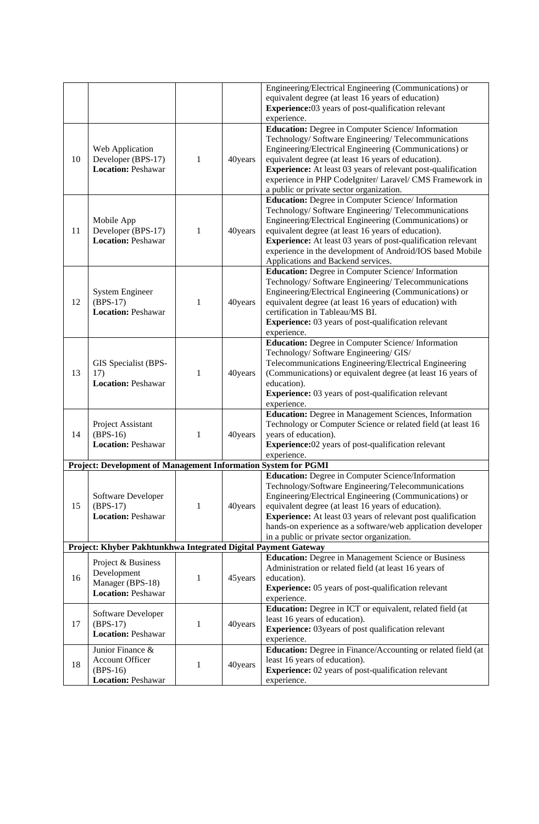|                                                                |                                                                |              |          | Engineering/Electrical Engineering (Communications) or              |  |  |  |
|----------------------------------------------------------------|----------------------------------------------------------------|--------------|----------|---------------------------------------------------------------------|--|--|--|
|                                                                |                                                                |              |          |                                                                     |  |  |  |
|                                                                |                                                                |              |          | equivalent degree (at least 16 years of education)                  |  |  |  |
|                                                                |                                                                |              |          | <b>Experience:</b> 03 years of post-qualification relevant          |  |  |  |
|                                                                |                                                                |              |          | experience.                                                         |  |  |  |
|                                                                |                                                                |              |          | Education: Degree in Computer Science/ Information                  |  |  |  |
|                                                                |                                                                |              |          | Technology/Software Engineering/Telecommunications                  |  |  |  |
| 10                                                             | Web Application                                                |              |          | Engineering/Electrical Engineering (Communications) or              |  |  |  |
|                                                                | Developer (BPS-17)                                             | $\mathbf{1}$ | 40years  | equivalent degree (at least 16 years of education).                 |  |  |  |
|                                                                | <b>Location: Peshawar</b>                                      |              |          | Experience: At least 03 years of relevant post-qualification        |  |  |  |
|                                                                |                                                                |              |          | experience in PHP CodeIgniter/ Laravel/ CMS Framework in            |  |  |  |
|                                                                |                                                                |              |          | a public or private sector organization.                            |  |  |  |
| 11                                                             |                                                                |              |          | Education: Degree in Computer Science/ Information                  |  |  |  |
|                                                                |                                                                |              |          | Technology/Software Engineering/Telecommunications                  |  |  |  |
|                                                                | Mobile App                                                     |              |          | Engineering/Electrical Engineering (Communications) or              |  |  |  |
|                                                                | Developer (BPS-17)                                             | 1            | 40years  | equivalent degree (at least 16 years of education).                 |  |  |  |
|                                                                | <b>Location: Peshawar</b>                                      |              |          | <b>Experience:</b> At least 03 years of post-qualification relevant |  |  |  |
|                                                                |                                                                |              |          | experience in the development of Android/IOS based Mobile           |  |  |  |
|                                                                |                                                                |              |          | Applications and Backend services.                                  |  |  |  |
|                                                                |                                                                |              |          | <b>Education:</b> Degree in Computer Science/ Information           |  |  |  |
|                                                                |                                                                |              |          | Technology/Software Engineering/Telecommunications                  |  |  |  |
|                                                                | <b>System Engineer</b>                                         |              |          | Engineering/Electrical Engineering (Communications) or              |  |  |  |
| 12                                                             | $(BPS-17)$                                                     | $\mathbf{1}$ | 40years  | equivalent degree (at least 16 years of education) with             |  |  |  |
|                                                                | <b>Location: Peshawar</b>                                      |              |          | certification in Tableau/MS BI.                                     |  |  |  |
|                                                                |                                                                |              |          | <b>Experience:</b> 03 years of post-qualification relevant          |  |  |  |
|                                                                |                                                                |              |          | experience.                                                         |  |  |  |
|                                                                |                                                                |              |          | Education: Degree in Computer Science/ Information                  |  |  |  |
|                                                                |                                                                |              |          | Technology/ Software Engineering/ GIS/                              |  |  |  |
|                                                                | GIS Specialist (BPS-                                           |              |          | Telecommunications Engineering/Electrical Engineering               |  |  |  |
| 13                                                             | 17)                                                            | 1            | 40years  | (Communications) or equivalent degree (at least 16 years of         |  |  |  |
|                                                                | <b>Location: Peshawar</b>                                      |              |          | education).                                                         |  |  |  |
|                                                                |                                                                |              |          | <b>Experience:</b> 03 years of post-qualification relevant          |  |  |  |
|                                                                |                                                                |              |          | experience.                                                         |  |  |  |
|                                                                | Project Assistant                                              |              |          | Education: Degree in Management Sciences, Information               |  |  |  |
|                                                                |                                                                |              |          | Technology or Computer Science or related field (at least 16        |  |  |  |
| 14                                                             | $(BPS-16)$                                                     | 1            | 40years  | years of education).                                                |  |  |  |
|                                                                | <b>Location: Peshawar</b>                                      |              |          | <b>Experience:</b> 02 years of post-qualification relevant          |  |  |  |
|                                                                |                                                                |              |          | experience.                                                         |  |  |  |
| Project: Development of Management Information System for PGMI |                                                                |              |          |                                                                     |  |  |  |
|                                                                |                                                                |              |          | Education: Degree in Computer Science/Information                   |  |  |  |
|                                                                |                                                                |              |          | Technology/Software Engineering/Telecommunications                  |  |  |  |
|                                                                | Software Developer                                             |              |          | Engineering/Electrical Engineering (Communications) or              |  |  |  |
| 15                                                             | $(BPS-17)$                                                     | 1            | 40years  | equivalent degree (at least 16 years of education).                 |  |  |  |
|                                                                | <b>Location: Peshawar</b>                                      |              |          | <b>Experience:</b> At least 03 years of relevant post qualification |  |  |  |
|                                                                |                                                                |              |          | hands-on experience as a software/web application developer         |  |  |  |
|                                                                |                                                                |              |          | in a public or private sector organization.                         |  |  |  |
|                                                                | Project: Khyber Pakhtunkhwa Integrated Digital Payment Gateway |              |          |                                                                     |  |  |  |
|                                                                | Project & Business                                             |              |          | <b>Education:</b> Degree in Management Science or Business          |  |  |  |
|                                                                | Development                                                    |              |          | Administration or related field (at least 16 years of               |  |  |  |
| 16                                                             | Manager (BPS-18)                                               | 1            | 45 years | education).                                                         |  |  |  |
|                                                                | <b>Location: Peshawar</b>                                      |              |          | <b>Experience:</b> 05 years of post-qualification relevant          |  |  |  |
|                                                                |                                                                |              |          | experience.                                                         |  |  |  |
| 17                                                             | Software Developer<br>$(BPS-17)$                               | 1            | 40years  | Education: Degree in ICT or equivalent, related field (at           |  |  |  |
|                                                                |                                                                |              |          | least 16 years of education).                                       |  |  |  |
|                                                                | <b>Location: Peshawar</b>                                      |              |          | <b>Experience:</b> 03years of post qualification relevant           |  |  |  |
|                                                                |                                                                |              |          | experience.                                                         |  |  |  |
|                                                                | Junior Finance &<br>Account Officer<br>$(BPS-16)$              | $\mathbf{1}$ | 40years  | Education: Degree in Finance/Accounting or related field (at        |  |  |  |
| 18                                                             |                                                                |              |          | least 16 years of education).                                       |  |  |  |
|                                                                |                                                                |              |          | <b>Experience:</b> 02 years of post-qualification relevant          |  |  |  |
|                                                                | <b>Location: Peshawar</b>                                      |              |          | experience.                                                         |  |  |  |